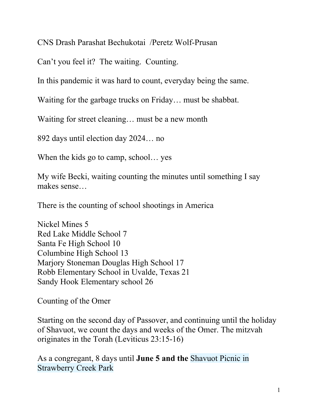CNS Drash Parashat Bechukotai /Peretz Wolf-Prusan

Can't you feel it? The waiting. Counting.

In this pandemic it was hard to count, everyday being the same.

Waiting for the garbage trucks on Friday… must be shabbat.

Waiting for street cleaning... must be a new month

892 days until election day 2024… no

When the kids go to camp, school... yes

My wife Becki, waiting counting the minutes until something I say makes sense…

There is the counting of school shootings in America

Nickel Mines 5 Red Lake Middle School 7 Santa Fe High School 10 Columbine High School 13 Marjory Stoneman Douglas High School 17 Robb Elementary School in Uvalde, Texas 21 Sandy Hook Elementary school 26

Counting of the Omer

Starting on the second day of Passover, and continuing until the holiday of Shavuot, we count the days and weeks of the Omer. The mitzvah originates in the Torah (Leviticus 23:15-16)

As a congregant, 8 days until **June 5 and the** Shavuot Picnic in Strawberry Creek Park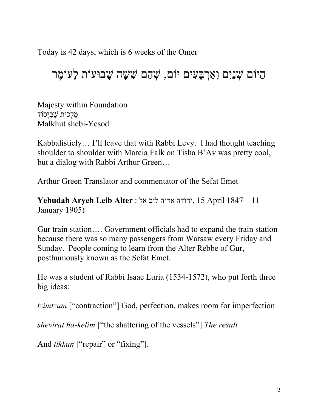Today is 42 days, which is 6 weeks of the Omer

הַיוֹם שָׁנַיִם וְאַרְבָּעִים יוֹם, שָׁהֶם שִׁשָּׁה שָׁבוּעוֹת לָעוֹמֶר

Majesty within Foundation מַלְכוּת שֶׁבִּיְסוֹד Malkhut shebi-Yesod

Kabbalisticly… I'll leave that with Rabbi Levy. I had thought teaching shoulder to shoulder with Marcia Falk on Tisha B'Av was pretty cool, but a dialog with Rabbi Arthur Green…

Arthur Green Translator and commentator of the Sefat Emet

**Yehudah Aryeh Leib Alter** : אל ליב אריה יהודה, 15 April 1847 – 11 January 1905)

Gur train station…. Government officials had to expand the train station because there was so many passengers from Warsaw every Friday and Sunday. People coming to learn from the Alter Rebbe of Gur, posthumously known as the Sefat Emet.

He was a student of Rabbi Isaac Luria (1534-1572), who put forth three big ideas:

*tzimtzum* ["contraction"] God, perfection, makes room for imperfection

*shevirat ha-kelim* ["the shattering of the vessels"] *The result*

And *tikkun* ["repair" or "fixing"].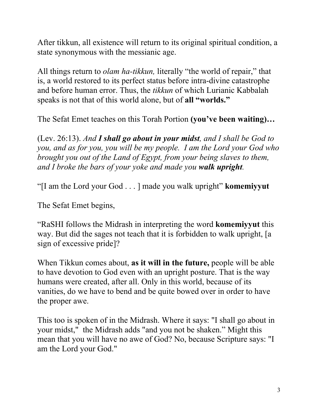After tikkun, all existence will return to its original spiritual condition, a state synonymous with the messianic age.

All things return to *olam ha-tikkun,* literally "the world of repair," that is, a world restored to its perfect status before intra-divine catastrophe and before human error. Thus, the *tikkun* of which Lurianic Kabbalah speaks is not that of this world alone, but of **all "worlds."**

The Sefat Emet teaches on this Torah Portion **(you've been waiting)…**

(Lev. 26:13). *And I shall go about in your midst, and I shall be God to you, and as for you, you will be my people. I am the Lord your God who brought you out of the Land of Egypt, from your being slaves to them, and I broke the bars of your yoke and made you walk upright.*

"[I am the Lord your God . . . ] made you walk upright" **komemiyyut**

The Sefat Emet begins,

"RaSHI follows the Midrash in interpreting the word **komemiyyut** this way. But did the sages not teach that it is forbidden to walk upright, [a sign of excessive pride]?

When Tikkun comes about, **as it will in the future,** people will be able to have devotion to God even with an upright posture. That is the way humans were created, after all. Only in this world, because of its vanities, do we have to bend and be quite bowed over in order to have the proper awe.

This too is spoken of in the Midrash. Where it says: "I shall go about in your midst," the Midrash adds "and you not be shaken." Might this mean that you will have no awe of God? No, because Scripture says: "I am the Lord your God."